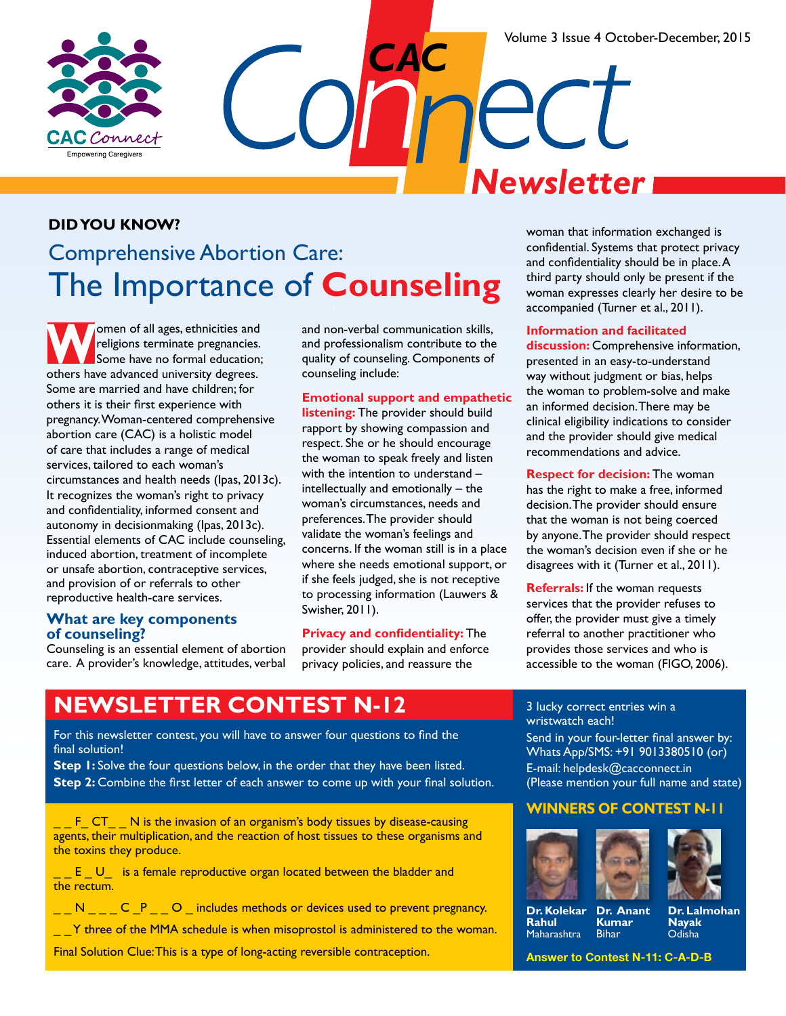

*Newsletter*

### **Did You Know?**

# Comprehensive Abortion Care: The Importance of **Counseling**

**WAOMED COMED SOMETHER**<br>
Some have no formal education;<br> **Some have no formal education;** religions terminate pregnancies. others have advanced university degrees. Some are married and have children; for others it is their first experience with pregnancy. Woman-centered comprehensive abortion care (CAC) is a holistic model of care that includes a range of medical services, tailored to each woman's circumstances and health needs (Ipas, 2013c). It recognizes the woman's right to privacy and confidentiality, informed consent and autonomy in decisionmaking (Ipas, 2013c). Essential elements of CAC include counseling, induced abortion, treatment of incomplete or unsafe abortion, contraceptive services, and provision of or referrals to other reproductive health-care services.

#### **What are key components of counseling?**

Counseling is an essential element of abortion care. A provider's knowledge, attitudes, verbal and non-verbal communication skills, and professionalism contribute to the quality of counseling. Components of counseling include:

*CAC* 

#### **Emotional support and empathetic**

**listening:** The provider should build rapport by showing compassion and respect. She or he should encourage the woman to speak freely and listen with the intention to understand – intellectually and emotionally – the woman's circumstances, needs and preferences. The provider should validate the woman's feelings and concerns. If the woman still is in a place where she needs emotional support, or if she feels judged, she is not receptive to processing information (Lauwers & Swisher, 2011).

**Privacy and confidentiality:** The provider should explain and enforce privacy policies, and reassure the

woman that information exchanged is confidential. Systems that protect privacy and confidentiality should be in place. A third party should only be present if the woman expresses clearly her desire to be accompanied (Turner et al., 2011).

#### **Information and facilitated**

**discussion:** Comprehensive information, presented in an easy-to-understand way without judgment or bias, helps the woman to problem-solve and make an informed decision. There may be clinical eligibility indications to consider and the provider should give medical recommendations and advice.

**Respect for decision:** The woman has the right to make a free, informed decision. The provider should ensure that the woman is not being coerced by anyone. The provider should respect the woman's decision even if she or he disagrees with it (Turner et al., 2011).

**Referrals:** If the woman requests services that the provider refuses to offer, the provider must give a timely referral to another practitioner who provides those services and who is accessible to the woman (FIGO, 2006).

## **Newsletter Contest N-12**

For this newsletter contest, you will have to answer four questions to find the final solution!

**Step 1:** Solve the four questions below, in the order that they have been listed. **Step 2:** Combine the first letter of each answer to come up with your final solution.

 $F$   $CT$   $N$  is the invasion of an organism's body tissues by disease-causing agents, their multiplication, and the reaction of host tissues to these organisms and the toxins they produce.

 $\_ E\_ U\_$  is a female reproductive organ located between the bladder and the rectum.

 $\_N \_ \_ \_ C \_ P \_ \_ O \_$  includes methods or devices used to prevent pregnancy.

 $\textcolor{red}{\text{---}}$  Y three of the MMA schedule is when misoprostol is administered to the woman.

Final Solution Clue: This is a type of long-acting reversible contraception.

3 lucky correct entries win a wristwatch each! Send in your four-letter final answer by: Whats App/SMS: +91 9013380510 (or) E-mail: helpdesk@cacconnect.in

(Please mention your full name and state)

### **Winners of Contest N-11**





**Dr. Kolekar Rahul** Maharashtra **Dr. Anant Kumar Bihar** 

**Dr. Lalmohan Nayak Odisha** 

**Answer to Contest N-11: C-A-D-B**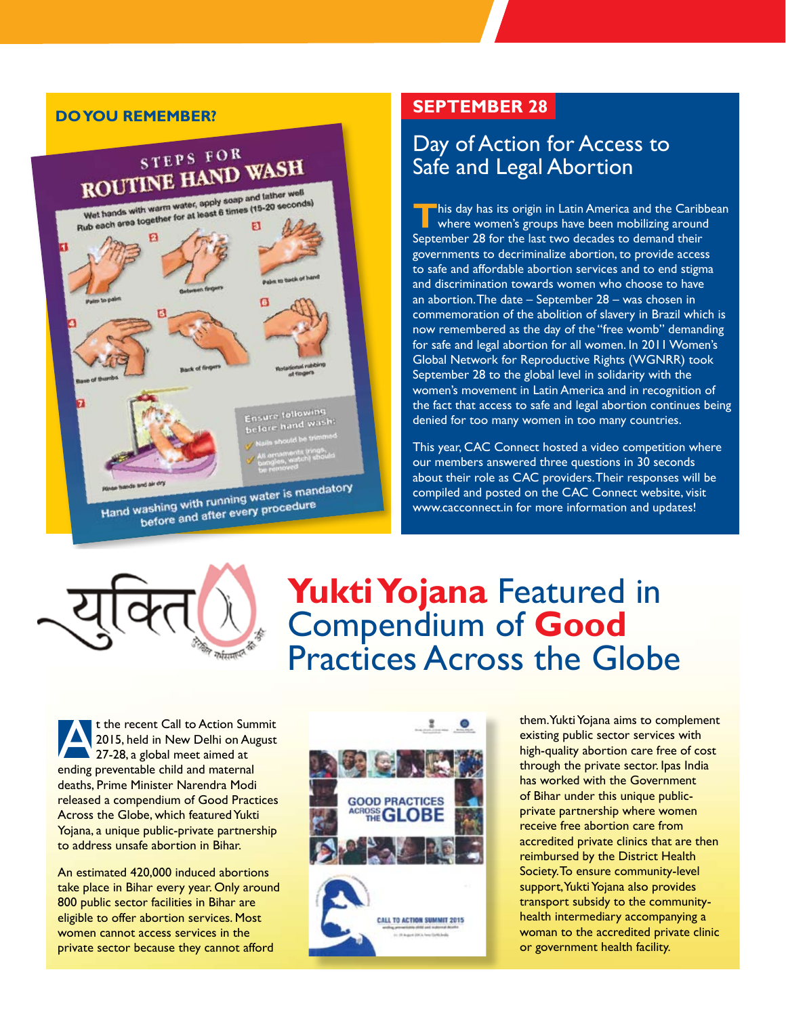### **Do You Remember?**



## **September 28**

## Day of Action for Access to Safe and Legal Abortion

**T**his day has its origin in Latin America and the Caribbean where women's groups have been mobilizing around September 28 for the last two decades to demand their governments to decriminalize abortion, to provide access to safe and affordable abortion services and to end stigma and discrimination towards women who choose to have an abortion. The date – September 28 – was chosen in commemoration of the abolition of slavery in Brazil which is now remembered as the day of the "free womb" demanding for safe and legal abortion for all women. In 2011 Women's Global Network for Reproductive Rights (WGNRR) took September 28 to the global level in solidarity with the women's movement in Latin America and in recognition of the fact that access to safe and legal abortion continues being denied for too many women in too many countries.

This year, CAC Connect hosted a video competition where our members answered three questions in 30 seconds about their role as CAC providers. Their responses will be compiled and posted on the CAC Connect website, visit www.cacconnect.in for more information and updates!



# **Yukti Yojana** Featured in Compendium of **Good**  Practices Across the Globe

t the recent Call to Action Summit<br>2015, held in New Delhi on August<br>27-28, a global meet aimed at 2015, held in New Delhi on August  $\big\sqrt{27-28}$ , a global meet aimed at ending preventable child and maternal deaths, Prime Minister Narendra Modi released a compendium of Good Practices Across the Globe, which featured Yukti Yojana, a unique public-private partnership to address unsafe abortion in Bihar.

An estimated 420,000 induced abortions take place in Bihar every year. Only around 800 public sector facilities in Bihar are eligible to offer abortion services. Most women cannot access services in the private sector because they cannot afford



them. Yukti Yojana aims to complement existing public sector services with high-quality abortion care free of cost through the private sector. Ipas India has worked with the Government of Bihar under this unique publicprivate partnership where women receive free abortion care from accredited private clinics that are then reimbursed by the District Health Society. To ensure community-level support, Yukti Yojana also provides transport subsidy to the communityhealth intermediary accompanying a woman to the accredited private clinic or government health facility.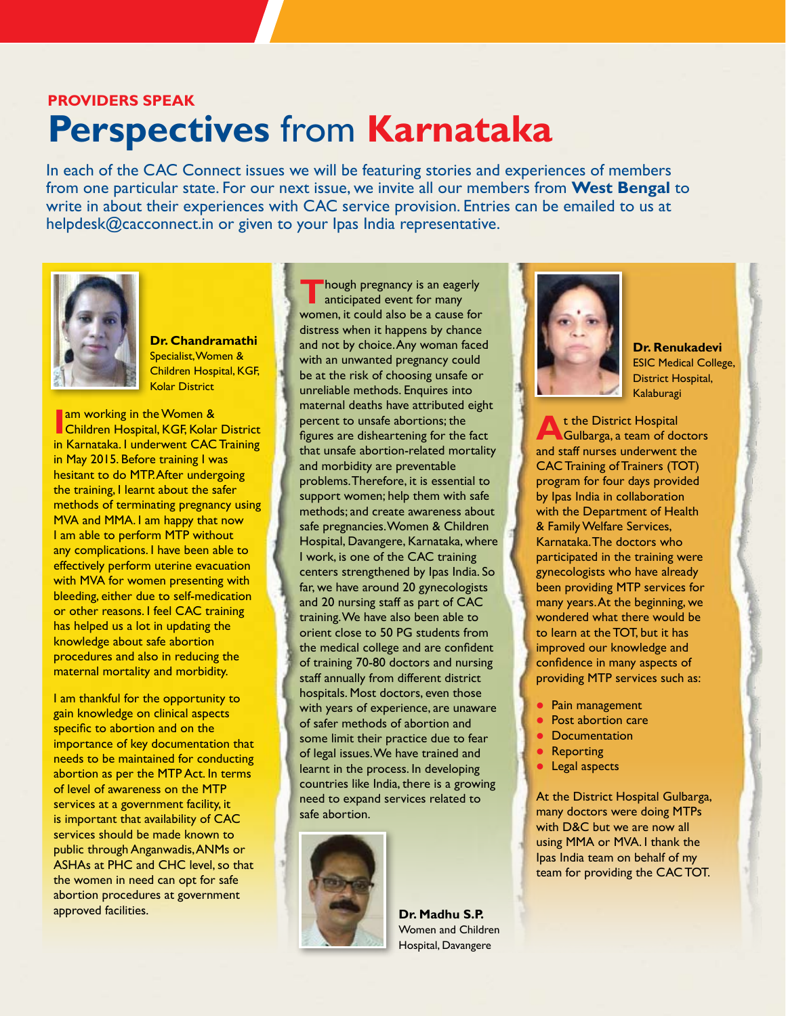# **Providers Speak Perspectives** from **Karnataka**

In each of the CAC Connect issues we will be featuring stories and experiences of members from one particular state. For our next issue, we invite all our members from **West Bengal** to write in about their experiences with CAC service provision. Entries can be emailed to us at helpdesk@cacconnect.in or given to your Ipas India representative.



**Dr. Chandramathi** Specialist, Women & Children Hospital, KGF, Kolar District

**Iam working in the Women &<br>Children Hospital, KGF, Kolar Children Hospital, KGF, Kolar District** in Karnataka. I underwent CAC Training in May 2015. Before training I was hesitant to do MTP. After undergoing the training, I learnt about the safer methods of terminating pregnancy using MVA and MMA. I am happy that now I am able to perform MTP without any complications. I have been able to effectively perform uterine evacuation with MVA for women presenting with bleeding, either due to self-medication or other reasons. I feel CAC training has helped us a lot in updating the knowledge about safe abortion procedures and also in reducing the maternal mortality and morbidity.

I am thankful for the opportunity to gain knowledge on clinical aspects specific to abortion and on the importance of key documentation that needs to be maintained for conducting abortion as per the MTP Act. In terms of level of awareness on the MTP services at a government facility, it is important that availability of CAC services should be made known to public through Anganwadis, ANMs or ASHAs at PHC and CHC level, so that the women in need can opt for safe abortion procedures at government approved facilities.

**T**hough pregnancy is an eagerly anticipated event for many women, it could also be a cause for distress when it happens by chance and not by choice. Any woman faced with an unwanted pregnancy could be at the risk of choosing unsafe or unreliable methods. Enquires into maternal deaths have attributed eight percent to unsafe abortions; the figures are disheartening for the fact that unsafe abortion-related mortality and morbidity are preventable problems. Therefore, it is essential to support women; help them with safe methods; and create awareness about safe pregnancies. Women & Children Hospital, Davangere, Karnataka, where I work, is one of the CAC training centers strengthened by Ipas India. So far, we have around 20 gynecologists and 20 nursing staff as part of CAC training. We have also been able to orient close to 50 PG students from the medical college and are confident of training 70-80 doctors and nursing staff annually from different district hospitals. Most doctors, even those with years of experience, are unaware of safer methods of abortion and some limit their practice due to fear of legal issues. We have trained and learnt in the process. In developing countries like India, there is a growing need to expand services related to safe abortion.



**Dr. Madhu S.P.** Women and Children Hospital, Davangere



**Dr. Renukadevi** ESIC Medical College, District Hospital, Kalaburagi

**A**t the District Hospital Gulbarga, a team of doctors and staff nurses underwent the CAC Training of Trainers (TOT) program for four days provided by Ipas India in collaboration with the Department of Health & Family Welfare Services, Karnataka. The doctors who participated in the training were gynecologists who have already been providing MTP services for many years. At the beginning, we wondered what there would be to learn at the TOT, but it has improved our knowledge and confidence in many aspects of providing MTP services such as:

- **•** Pain management
- **•** Post abortion care
- Documentation
- Reporting
- **Legal aspects**

At the District Hospital Gulbarga, many doctors were doing MTPs with D&C but we are now all using MMA or MVA. I thank the Ipas India team on behalf of my team for providing the CAC TOT.